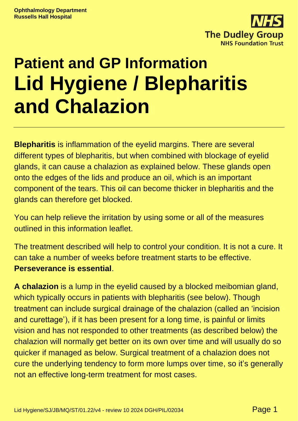

# **Patient and GP Information Lid Hygiene / Blepharitis and Chalazion**

**Blepharitis** is inflammation of the eyelid margins. There are several different types of blepharitis, but when combined with blockage of eyelid glands, it can cause a chalazion as explained below. These glands open onto the edges of the lids and produce an oil, which is an important component of the tears. This oil can become thicker in blepharitis and the glands can therefore get blocked.

You can help relieve the irritation by using some or all of the measures outlined in this information leaflet.

The treatment described will help to control your condition. It is not a cure. It can take a number of weeks before treatment starts to be effective. **Perseverance is essential**.

**A chalazion** is a lump in the eyelid caused by a blocked meibomian gland, which typically occurs in patients with blepharitis (see below). Though treatment can include surgical drainage of the chalazion (called an 'incision and curettage'), if it has been present for a long time, is painful or limits vision and has not responded to other treatments (as described below) the chalazion will normally get better on its own over time and will usually do so quicker if managed as below. Surgical treatment of a chalazion does not cure the underlying tendency to form more lumps over time, so it's generally not an effective long-term treatment for most cases.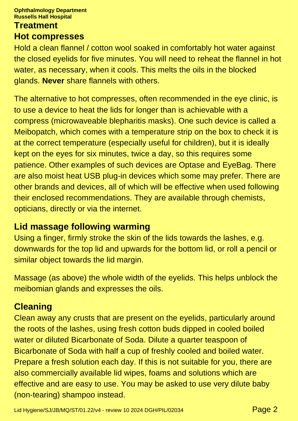#### **Ophthalmology Department Russells Hall Hospital**

#### **Treatment Hot compresses**

Hold a clean flannel / cotton wool soaked in comfortably hot water against the closed eyelids for five minutes. You will need to reheat the flannel in hot water, as necessary, when it cools. This melts the oils in the blocked glands. **Never** share flannels with others.

The alternative to hot compresses, often recommended in the eye clinic, is to use a device to heat the lids for longer than is achievable with a compress (microwaveable blepharitis masks). One such device is called a Meibopatch, which comes with a temperature strip on the box to check it is at the correct temperature (especially useful for children), but it is ideally kept on the eyes for six minutes, twice a day, so this requires some patience. Other examples of such devices are Optase and EyeBag. There are also moist heat USB plug-in devices which some may prefer. There are other brands and devices, all of which will be effective when used following their enclosed recommendations. They are available through chemists, opticians, directly or via the internet.

#### **Lid massage following warming**

Using a finger, firmly stroke the skin of the lids towards the lashes, e.g. downwards for the top lid and upwards for the bottom lid, or roll a pencil or similar object towards the lid margin.

Massage (as above) the whole width of the eyelids. This helps unblock the meibomian glands and expresses the oils.

#### **Cleaning**

Clean away any crusts that are present on the eyelids, particularly around the roots of the lashes, using fresh cotton buds dipped in cooled boiled water or diluted Bicarbonate of Soda. Dilute a quarter teaspoon of Bicarbonate of Soda with half a cup of freshly cooled and boiled water. Prepare a fresh solution each day. If this is not suitable for you, there are also commercially available lid wipes, foams and solutions which are effective and are easy to use. You may be asked to use very dilute baby (non-tearing) shampoo instead.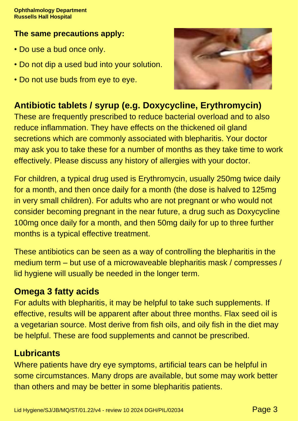#### **The same precautions apply:**

- Do use a bud once only.
- Do not dip a used bud into your solution.
- Do not use buds from eye to eye.



## **Antibiotic tablets / syrup (e.g. Doxycycline, Erythromycin)**

These are frequently prescribed to reduce bacterial overload and to also reduce inflammation. They have effects on the thickened oil gland secretions which are commonly associated with blepharitis. Your doctor may ask you to take these for a number of months as they take time to work effectively. Please discuss any history of allergies with your doctor.

For children, a typical drug used is Erythromycin, usually 250mg twice daily for a month, and then once daily for a month (the dose is halved to 125mg in very small children). For adults who are not pregnant or who would not consider becoming pregnant in the near future, a drug such as Doxycycline 100mg once daily for a month, and then 50mg daily for up to three further months is a typical effective treatment.

These antibiotics can be seen as a way of controlling the blepharitis in the medium term – but use of a microwaveable blepharitis mask / compresses / lid hygiene will usually be needed in the longer term.

#### **Omega 3 fatty acids**

For adults with blepharitis, it may be helpful to take such supplements. If effective, results will be apparent after about three months. Flax seed oil is a vegetarian source. Most derive from fish oils, and oily fish in the diet may be helpful. These are food supplements and cannot be prescribed.

### **Lubricants**

Where patients have dry eye symptoms, artificial tears can be helpful in some circumstances. Many drops are available, but some may work better than others and may be better in some blepharitis patients.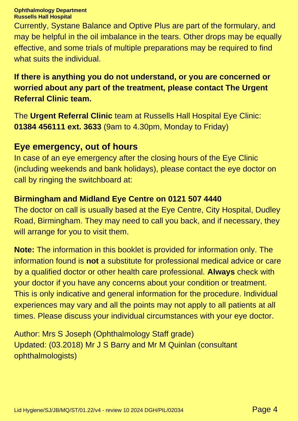#### **Ophthalmology Department Russells Hall Hospital**

Currently, Systane Balance and Optive Plus are part of the formulary, and may be helpful in the oil imbalance in the tears. Other drops may be equally effective, and some trials of multiple preparations may be required to find what suits the individual.

#### **If there is anything you do not understand, or you are concerned or worried about any part of the treatment, please contact The Urgent Referral Clinic team.**

The **Urgent Referral Clinic** team at Russells Hall Hospital Eye Clinic: **01384 456111 ext. 3633** (9am to 4.30pm, Monday to Friday)

#### **Eye emergency, out of hours**

In case of an eye emergency after the closing hours of the Eye Clinic (including weekends and bank holidays), please contact the eye doctor on call by ringing the switchboard at:

#### **Birmingham and Midland Eye Centre on 0121 507 4440**

The doctor on call is usually based at the Eye Centre, City Hospital, Dudley Road, Birmingham. They may need to call you back, and if necessary, they will arrange for you to visit them.

**Note:** The information in this booklet is provided for information only. The information found is **not** a substitute for professional medical advice or care by a qualified doctor or other health care professional. **Always** check with your doctor if you have any concerns about your condition or treatment. This is only indicative and general information for the procedure. Individual experiences may vary and all the points may not apply to all patients at all times. Please discuss your individual circumstances with your eye doctor.

Author: Mrs S Joseph (Ophthalmology Staff grade) Updated: (03.2018) Mr J S Barry and Mr M Quinlan (consultant ophthalmologists)